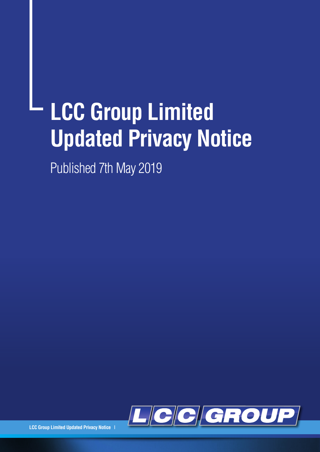# **LCC Group Limited Updated Privacy Notice**

Published 7th May 2019

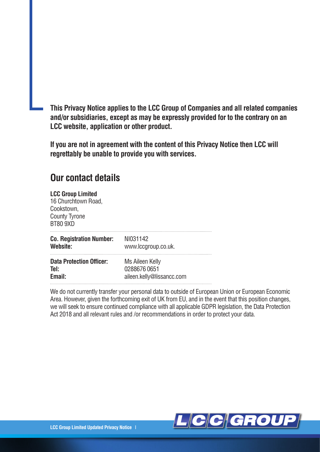**This Privacy Notice applies to the LCC Group of Companies and all related companies and/or subsidiaries, except as may be expressly provided for to the contrary on an LCC website, application or other product.** 

**If you are not in agreement with the content of this Privacy Notice then LCC will regrettably be unable to provide you with services.**

# **Our contact details**

| <b>LCC Group Limited</b><br>16 Churchtown Road,<br>Cookstown,<br><b>County Tyrone</b><br><b>BT80 9XD</b> |                           |
|----------------------------------------------------------------------------------------------------------|---------------------------|
| <b>Co. Registration Number:</b>                                                                          | NI031142                  |
| Website:                                                                                                 | www.lccgroup.co.uk.       |
| <b>Data Protection Officer:</b>                                                                          | Ms Aileen Kelly           |
| Tel:                                                                                                     | 02886760651               |
| Email:                                                                                                   | aileen.kelly@lissancc.com |

We do not currently transfer your personal data to outside of European Union or European Economic Area. However, given the forthcoming exit of UK from EU, and in the event that this position changes, we will seek to ensure continued compliance with all applicable GDPR legislation, the Data Protection Act 2018 and all relevant rules and /or recommendations in order to protect your data.

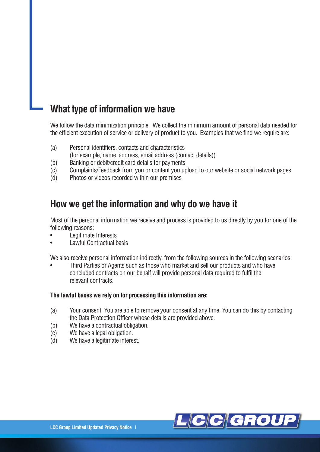# **What type of information we have**

We follow the data minimization principle. We collect the minimum amount of personal data needed for the efficient execution of service or delivery of product to you. Examples that we find we require are:

- (a) Personal identifiers, contacts and characteristics
- (for example, name, address, email address (contact details))
- (b) Banking or debit/credit card details for payments
- (c) Complaints/Feedback from you or content you upload to our website or social network pages
- (d) Photos or videos recorded within our premises

#### **How we get the information and why do we have it**

Most of the personal information we receive and process is provided to us directly by you for one of the following reasons:

- Legitimate Interests
- Lawful Contractual basis

We also receive personal information indirectly, from the following sources in the following scenarios:

• Third Parties or Agents such as those who market and sell our products and who have concluded contracts on our behalf will provide personal data required to fulfil the relevant contracts.

#### **The lawful bases we rely on for processing this information are:**

- (a) Your consent. You are able to remove your consent at any time. You can do this by contacting the Data Protection Officer whose details are provided above.
- (b) We have a contractual obligation.
- (c) We have a legal obligation.
- (d) We have a legitimate interest.

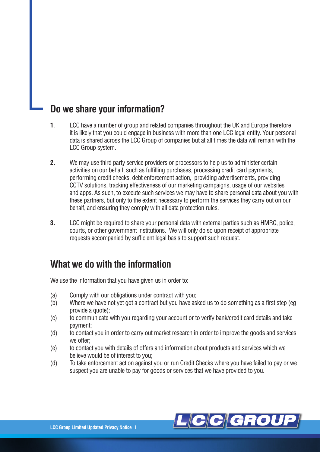### **Do we share your information?**

- **1**. LCC have a number of group and related companies throughout the UK and Europe therefore it is likely that you could engage in business with more than one LCC legal entity. Your personal data is shared across the LCC Group of companies but at all times the data will remain with the LCC Group system.
- **2.** We may use third party service providers or processors to help us to administer certain activities on our behalf, such as fulfilling purchases, processing credit card payments, performing credit checks, debt enforcement action, providing advertisements, providing CCTV solutions, tracking effectiveness of our marketing campaigns, usage of our websites and apps. As such, to execute such services we may have to share personal data about you with these partners, but only to the extent necessary to perform the services they carry out on our behalf, and ensuring they comply with all data protection rules.
- **3.** LCC might be required to share your personal data with external parties such as HMRC, police, courts, or other government institutions. We will only do so upon receipt of appropriate requests accompanied by sufficient legal basis to support such request.

#### **What we do with the information**

We use the information that you have given us in order to:

- (a) Comply with our obligations under contract with you;
- (b) Where we have not yet got a contract but you have asked us to do something as a first step (eg provide a quote);
- (c) to communicate with you regarding your account or to verify bank/credit card details and take payment;
- (d) to contact you in order to carry out market research in order to improve the goods and services we offer;
- (e) to contact you with details of offers and information about products and services which we believe would be of interest to you;
- (d) To take enforcement action against you or run Credit Checks where you have failed to pay or we suspect you are unable to pay for goods or services that we have provided to you.

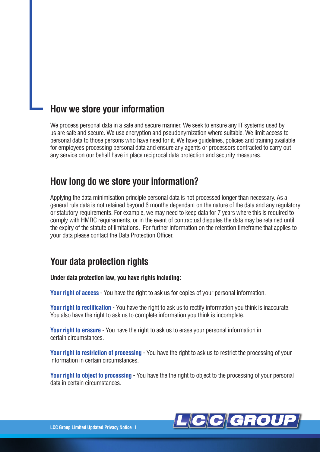#### **How we store your information**

We process personal data in a safe and secure manner. We seek to ensure any IT systems used by us are safe and secure. We use encryption and pseudonymization where suitable. We limit access to personal data to those persons who have need for it. We have guidelines, policies and training available for employees processing personal data and ensure any agents or processors contracted to carry out any service on our behalf have in place reciprocal data protection and security measures.

#### **How long do we store your information?**

Applying the data minimisation principle personal data is not processed longer than necessary. As a general rule data is not retained beyond 6 months dependant on the nature of the data and any regulatory or statutory requirements. For example, we may need to keep data for 7 years where this is required to comply with HMRC requirements, or in the event of contractual disputes the data may be retained until the expiry of the statute of limitations. For further information on the retention timeframe that applies to your data please contact the Data Protection Officer.

#### **Your data protection rights**

**Under data protection law, you have rights including:**

**Your right of access** - You have the right to ask us for copies of your personal information.

**Your right to rectification** - You have the right to ask us to rectify information you think is inaccurate. You also have the right to ask us to complete information you think is incomplete.

**Your right to erasure** - You have the right to ask us to erase your personal information in certain circumstances.

**Your right to restriction of processing** - You have the right to ask us to restrict the processing of your information in certain circumstances.

**Your right to object to processing** - You have the the right to object to the processing of your personal data in certain circumstances.